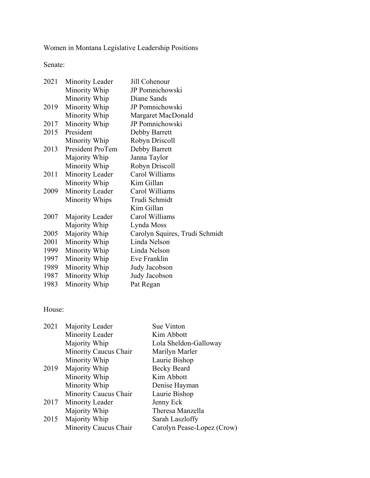Women in Montana Legislative Leadership Positions

Senate:

| 2021 | <b>Minority Leader</b> | Jill Cohenour                  |
|------|------------------------|--------------------------------|
|      | Minority Whip          | JP Pomnichowski                |
|      | Minority Whip          | Diane Sands                    |
| 2019 | Minority Whip          | <b>JP</b> Pomnichowski         |
|      | Minority Whip          | Margaret MacDonald             |
| 2017 | Minority Whip          | JP Pomnichowski                |
| 2015 | President              | Debby Barrett                  |
|      | Minority Whip          | Robyn Driscoll                 |
| 2013 | President ProTem       | Debby Barrett                  |
|      | Majority Whip          | Janna Taylor                   |
|      | Minority Whip          | Robyn Driscoll                 |
| 2011 | Minority Leader        | Carol Williams                 |
|      | Minority Whip          | Kim Gillan                     |
| 2009 | Minority Leader        | Carol Williams                 |
|      | <b>Minority Whips</b>  | Trudi Schmidt                  |
|      |                        | Kim Gillan                     |
| 2007 | Majority Leader        | Carol Williams                 |
|      | Majority Whip          | Lynda Moss                     |
| 2005 | Majority Whip          | Carolyn Squires, Trudi Schmidt |
| 2001 | Minority Whip          | Linda Nelson                   |
| 1999 | Minority Whip          | Linda Nelson                   |
| 1997 | Minority Whip          | Eve Franklin                   |
| 1989 | Minority Whip          | Judy Jacobson                  |
| 1987 | Minority Whip          | Judy Jacobson                  |
| 1983 | Minority Whip          | Pat Regan                      |
|      |                        |                                |

## House:

| 2021 | Majority Leader       | Sue Vinton                 |
|------|-----------------------|----------------------------|
|      | Minority Leader       | Kim Abbott                 |
|      | Majority Whip         | Lola Sheldon-Galloway      |
|      | Minority Caucus Chair | Marilyn Marler             |
|      | Minority Whip         | Laurie Bishop              |
| 2019 | Majority Whip         | <b>Becky Beard</b>         |
|      | Minority Whip         | Kim Abbott                 |
|      | Minority Whip         | Denise Hayman              |
|      | Minority Caucus Chair | Laurie Bishop              |
| 2017 | Minority Leader       | Jenny Eck                  |
|      | Majority Whip         | Theresa Manzella           |
| 2015 | Majority Whip         | Sarah Laszloffy            |
|      | Minority Caucus Chair | Carolyn Pease-Lopez (Crow) |